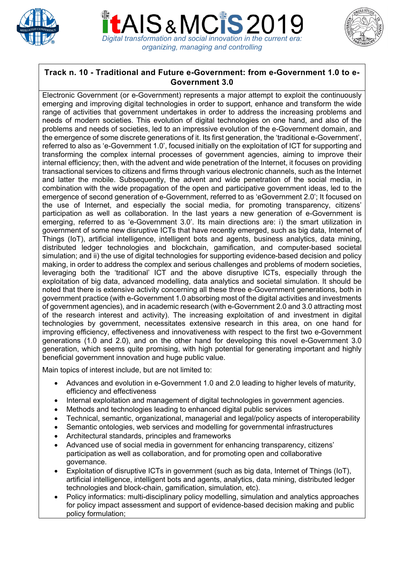





## **Track n. 10 - Traditional and Future e-Government: from e-Government 1.0 to e-Government 3.0**

Electronic Government (or e-Government) represents a major attempt to exploit the continuously emerging and improving digital technologies in order to support, enhance and transform the wide range of activities that government undertakes in order to address the increasing problems and needs of modern societies. This evolution of digital technologies on one hand, and also of the problems and needs of societies, led to an impressive evolution of the e-Government domain, and the emergence of some discrete generations of it. Its first generation, the 'traditional e-Government', referred to also as 'e-Government 1.0', focused initially on the exploitation of ICT for supporting and transforming the complex internal processes of government agencies, aiming to improve their internal efficiency; then, with the advent and wide penetration of the Internet, it focuses on providing transactional services to citizens and firms through various electronic channels, such as the Internet and latter the mobile. Subsequently, the advent and wide penetration of the social media, in combination with the wide propagation of the open and participative government ideas, led to the emergence of second generation of e-Government, referred to as 'eGovernment 2.0'; It focused on the use of Internet, and especially the social media, for promoting transparency, citizens' participation as well as collaboration. In the last years a new generation of e-Government is emerging, referred to as 'e-Government 3.0'. Its main directions are: i) the smart utilization in government of some new disruptive ICTs that have recently emerged, such as big data, Internet of Things (IoT), artificial intelligence, intelligent bots and agents, business analytics, data mining, distributed ledger technologies and blockchain, gamification, and computer-based societal simulation; and ii) the use of digital technologies for supporting evidence-based decision and policy making, in order to address the complex and serious challenges and problems of modern societies, leveraging both the 'traditional' ICT and the above disruptive ICTs, especially through the exploitation of big data, advanced modelling, data analytics and societal simulation. It should be noted that there is extensive activity concerning all these three e-Government generations, both in government practice (with e-Government 1.0 absorbing most of the digital activities and investments of government agencies), and in academic research (with e-Government 2.0 and 3.0 attracting most of the research interest and activity). The increasing exploitation of and investment in digital technologies by government, necessitates extensive research in this area, on one hand for improving efficiency, effectiveness and innovativeness with respect to the first two e-Government generations (1.0 and 2.0), and on the other hand for developing this novel e-Government 3.0 generation, which seems quite promising, with high potential for generating important and highly beneficial government innovation and huge public value.

Main topics of interest include, but are not limited to:

- Advances and evolution in e-Government 1.0 and 2.0 leading to higher levels of maturity, efficiency and effectiveness
- Internal exploitation and management of digital technologies in government agencies.
- Methods and technologies leading to enhanced digital public services
- Technical, semantic, organizational, managerial and legal/policy aspects of interoperability
- Semantic ontologies, web services and modelling for governmental infrastructures
- Architectural standards, principles and frameworks
- Advanced use of social media in government for enhancing transparency, citizens' participation as well as collaboration, and for promoting open and collaborative governance.
- Exploitation of disruptive ICTs in government (such as big data, Internet of Things (IoT), artificial intelligence, intelligent bots and agents, analytics, data mining, distributed ledger technologies and block-chain, gamification, simulation, etc).
- Policy informatics: multi-disciplinary policy modelling, simulation and analytics approaches for policy impact assessment and support of evidence-based decision making and public policy formulation;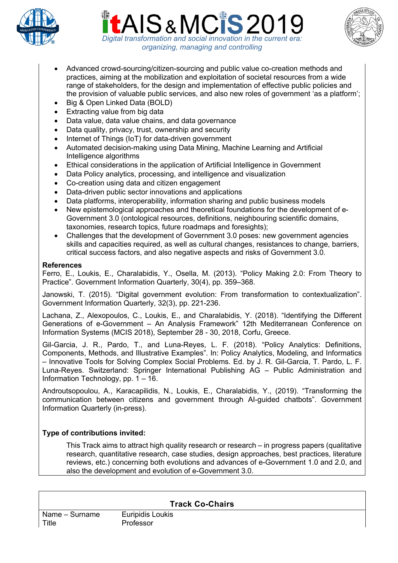





- Advanced crowd-sourcing/citizen-sourcing and public value co-creation methods and practices, aiming at the mobilization and exploitation of societal resources from a wide range of stakeholders, for the design and implementation of effective public policies and the provision of valuable public services, and also new roles of government 'as a platform';
- Big & Open Linked Data (BOLD)
- Extracting value from big data
- Data value, data value chains, and data governance
- Data quality, privacy, trust, ownership and security
- Internet of Things (IoT) for data-driven government
- Automated decision-making using Data Mining, Machine Learning and Artificial Intelligence algorithms
- Ethical considerations in the application of Artificial Intelligence in Government
- Data Policy analytics, processing, and intelligence and visualization
- Co-creation using data and citizen engagement
- Data-driven public sector innovations and applications
- Data platforms, interoperability, information sharing and public business models
- New epistemological approaches and theoretical foundations for the development of e-Government 3.0 (ontological resources, definitions, neighbouring scientific domains, taxonomies, research topics, future roadmaps and foresights);
- Challenges that the development of Government 3.0 poses: new government agencies skills and capacities required, as well as cultural changes, resistances to change, barriers, critical success factors, and also negative aspects and risks of Government 3.0.

## **References**

Ferro, E., Loukis, E., Charalabidis, Y., Osella, M. (2013). "Policy Making 2.0: From Theory to Practice". Government Information Quarterly, 30(4), pp. 359–368.

Janowski, T. (2015). "Digital government evolution: From transformation to contextualization". Government Information Quarterly, 32(3), pp. 221-236.

Lachana, Z., Alexopoulos, C., Loukis, E., and Charalabidis, Y. (2018). "Identifying the Different Generations of e-Government – An Analysis Framework" 12th Mediterranean Conference on Information Systems (MCIS 2018), September 28 - 30, 2018, Corfu, Greece.

Gil-Garcia, J. R., Pardo, T., and Luna-Reyes, L. F. (2018). "Policy Analytics: Definitions, Components, Methods, and Illustrative Examples". In: Policy Analytics, Modeling, and Informatics – Innovative Tools for Solving Complex Social Problems. Ed. by J. R. Gil-Garcia, T. Pardo, L. F. Luna-Reyes. Switzerland: Springer International Publishing AG – Public Administration and Information Technology, pp. 1 – 16.

Androutsopoulou, A., Karacapilidis, N., Loukis, E., Charalabidis, Y., (2019). "Transforming the communication between citizens and government through AI-guided chatbots". Government Information Quarterly (in-press).

# **Type of contributions invited:**

This Track aims to attract high quality research or research – in progress papers (qualitative research, quantitative research, case studies, design approaches, best practices, literature reviews, etc.) concerning both evolutions and advances of e-Government 1.0 and 2.0, and also the development and evolution of e-Government 3.0.

**Track Co-Chairs**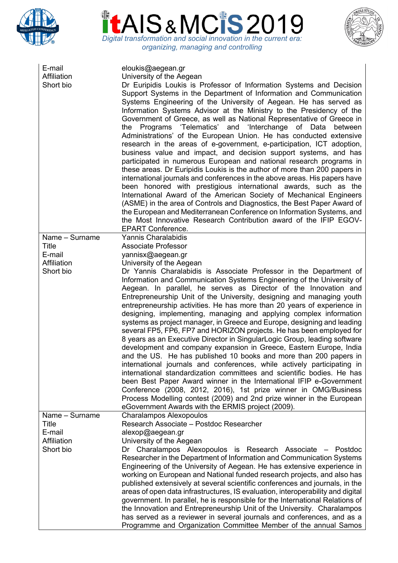





| E-mail<br>Affiliation<br>Short bio | eloukis@aegean.gr<br>University of the Aegean<br>Dr Euripidis Loukis is Professor of Information Systems and Decision<br>Support Systems in the Department of Information and Communication<br>Systems Engineering of the University of Aegean. He has served as<br>Information Systems Advisor at the Ministry to the Presidency of the<br>Government of Greece, as well as National Representative of Greece in<br>the Programs 'Telematics' and 'Interchange of Data<br>between<br>Administrations' of the European Union. He has conducted extensive<br>research in the areas of e-government, e-participation, ICT adoption,<br>business value and impact, and decision support systems, and has<br>participated in numerous European and national research programs in<br>these areas. Dr Euripidis Loukis is the author of more than 200 papers in<br>international journals and conferences in the above areas. His papers have<br>been honored with prestigious international awards, such as the<br>International Award of the American Society of Mechanical Engineers<br>(ASME) in the area of Controls and Diagnostics, the Best Paper Award of<br>the European and Mediterranean Conference on Information Systems, and<br>the Most Innovative Research Contribution award of the IFIP EGOV-<br><b>EPART Conference.</b> |
|------------------------------------|----------------------------------------------------------------------------------------------------------------------------------------------------------------------------------------------------------------------------------------------------------------------------------------------------------------------------------------------------------------------------------------------------------------------------------------------------------------------------------------------------------------------------------------------------------------------------------------------------------------------------------------------------------------------------------------------------------------------------------------------------------------------------------------------------------------------------------------------------------------------------------------------------------------------------------------------------------------------------------------------------------------------------------------------------------------------------------------------------------------------------------------------------------------------------------------------------------------------------------------------------------------------------------------------------------------------------------------|
| Name - Surname<br><b>Title</b>     | Yannis Charalabidis<br><b>Associate Professor</b>                                                                                                                                                                                                                                                                                                                                                                                                                                                                                                                                                                                                                                                                                                                                                                                                                                                                                                                                                                                                                                                                                                                                                                                                                                                                                      |
| E-mail                             | yannisx@aegean.gr                                                                                                                                                                                                                                                                                                                                                                                                                                                                                                                                                                                                                                                                                                                                                                                                                                                                                                                                                                                                                                                                                                                                                                                                                                                                                                                      |
| Affiliation                        | University of the Aegean                                                                                                                                                                                                                                                                                                                                                                                                                                                                                                                                                                                                                                                                                                                                                                                                                                                                                                                                                                                                                                                                                                                                                                                                                                                                                                               |
| Short bio                          | Dr Yannis Charalabidis is Associate Professor in the Department of                                                                                                                                                                                                                                                                                                                                                                                                                                                                                                                                                                                                                                                                                                                                                                                                                                                                                                                                                                                                                                                                                                                                                                                                                                                                     |
|                                    | Information and Communication Systems Engineering of the University of<br>Aegean. In parallel, he serves as Director of the Innovation and<br>Entrepreneurship Unit of the University, designing and managing youth<br>entrepreneurship activities. He has more than 20 years of experience in<br>designing, implementing, managing and applying complex information<br>systems as project manager, in Greece and Europe, designing and leading<br>several FP5, FP6, FP7 and HORIZON projects. He has been employed for<br>8 years as an Executive Director in SingularLogic Group, leading software<br>development and company expansion in Greece, Eastern Europe, India<br>and the US. He has published 10 books and more than 200 papers in<br>international journals and conferences, while actively participating in<br>international standardization committees and scientific bodies. He has<br>been Best Paper Award winner in the International IFIP e-Government<br>Conference (2008, 2012, 2016), 1st prize winner in OMG/Business<br>Process Modelling contest (2009) and 2nd prize winner in the European<br>eGovernment Awards with the ERMIS project (2009).                                                                                                                                                           |
| Name - Surname                     | <b>Charalampos Alexopoulos</b>                                                                                                                                                                                                                                                                                                                                                                                                                                                                                                                                                                                                                                                                                                                                                                                                                                                                                                                                                                                                                                                                                                                                                                                                                                                                                                         |
| Title                              | Research Associate - Postdoc Researcher                                                                                                                                                                                                                                                                                                                                                                                                                                                                                                                                                                                                                                                                                                                                                                                                                                                                                                                                                                                                                                                                                                                                                                                                                                                                                                |
| E-mail                             | alexop@aegean.gr                                                                                                                                                                                                                                                                                                                                                                                                                                                                                                                                                                                                                                                                                                                                                                                                                                                                                                                                                                                                                                                                                                                                                                                                                                                                                                                       |
| Affiliation                        | University of the Aegean                                                                                                                                                                                                                                                                                                                                                                                                                                                                                                                                                                                                                                                                                                                                                                                                                                                                                                                                                                                                                                                                                                                                                                                                                                                                                                               |
| Short bio                          | Dr Charalampos Alexopoulos is Research Associate – Postdoc                                                                                                                                                                                                                                                                                                                                                                                                                                                                                                                                                                                                                                                                                                                                                                                                                                                                                                                                                                                                                                                                                                                                                                                                                                                                             |
|                                    | Researcher in the Department of Information and Communication Systems                                                                                                                                                                                                                                                                                                                                                                                                                                                                                                                                                                                                                                                                                                                                                                                                                                                                                                                                                                                                                                                                                                                                                                                                                                                                  |
|                                    | Engineering of the University of Aegean. He has extensive experience in                                                                                                                                                                                                                                                                                                                                                                                                                                                                                                                                                                                                                                                                                                                                                                                                                                                                                                                                                                                                                                                                                                                                                                                                                                                                |
|                                    | working on European and National funded research projects, and also has                                                                                                                                                                                                                                                                                                                                                                                                                                                                                                                                                                                                                                                                                                                                                                                                                                                                                                                                                                                                                                                                                                                                                                                                                                                                |
|                                    | published extensively at several scientific conferences and journals, in the<br>areas of open data infrastructures, IS evaluation, interoperability and digital                                                                                                                                                                                                                                                                                                                                                                                                                                                                                                                                                                                                                                                                                                                                                                                                                                                                                                                                                                                                                                                                                                                                                                        |
|                                    | government. In parallel, he is responsible for the International Relations of                                                                                                                                                                                                                                                                                                                                                                                                                                                                                                                                                                                                                                                                                                                                                                                                                                                                                                                                                                                                                                                                                                                                                                                                                                                          |
|                                    | the Innovation and Entrepreneurship Unit of the University. Charalampos                                                                                                                                                                                                                                                                                                                                                                                                                                                                                                                                                                                                                                                                                                                                                                                                                                                                                                                                                                                                                                                                                                                                                                                                                                                                |
|                                    | has served as a reviewer in several journals and conferences, and as a                                                                                                                                                                                                                                                                                                                                                                                                                                                                                                                                                                                                                                                                                                                                                                                                                                                                                                                                                                                                                                                                                                                                                                                                                                                                 |
|                                    | Programme and Organization Committee Member of the annual Samos                                                                                                                                                                                                                                                                                                                                                                                                                                                                                                                                                                                                                                                                                                                                                                                                                                                                                                                                                                                                                                                                                                                                                                                                                                                                        |